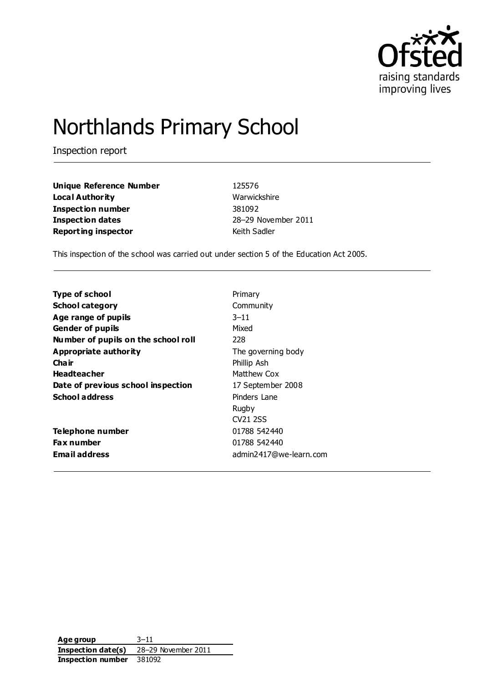

# Northlands Primary School

Inspection report

| Unique Reference Number    | 125576              |
|----------------------------|---------------------|
| Loca l Authority           | Warwickshire        |
| Inspection number          | 381092              |
| Inspection dates           | 28-29 November 2011 |
| <b>Reporting inspector</b> | Keith Sadler        |

This inspection of the school was carried out under section 5 of the Education Act 2005.

| <b>Type of school</b>               | Primary                |
|-------------------------------------|------------------------|
| <b>School category</b>              | Community              |
| Age range of pupils                 | $3 - 11$               |
| <b>Gender of pupils</b>             | Mixed                  |
| Number of pupils on the school roll | 228                    |
| Appropriate authority               | The governing body     |
| Cha ir                              | Phillip Ash            |
| <b>Headteacher</b>                  | Matthew Cox            |
| Date of previous school inspection  | 17 September 2008      |
| School address                      | Pinders Lane           |
|                                     | Rugby                  |
|                                     | CV <sub>21</sub> 2SS   |
| Telephone number                    | 01788 542440           |
| <b>Fax number</b>                   | 01788 542440           |
| Email address                       | admin2417@we-learn.com |

**Age group** 3–11 **Inspection date(s)** 28–29 November 2011 **Inspection number** 381092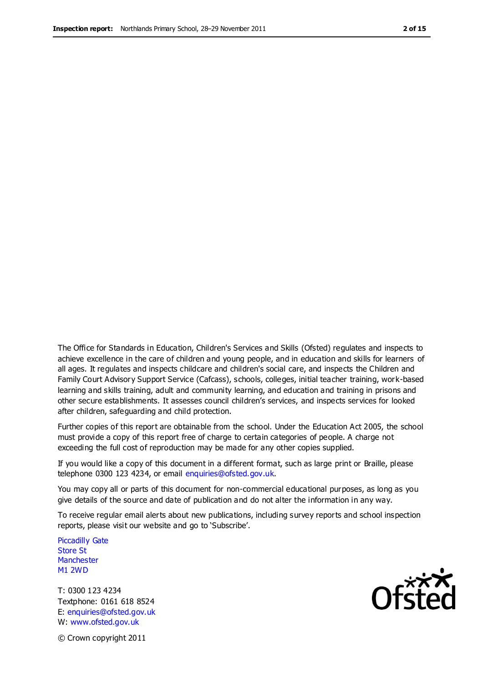The Office for Standards in Education, Children's Services and Skills (Ofsted) regulates and inspects to achieve excellence in the care of children and young people, and in education and skills for learners of all ages. It regulates and inspects childcare and children's social care, and inspects the Children and Family Court Advisory Support Service (Cafcass), schools, colleges, initial teacher training, work-based learning and skills training, adult and community learning, and education and training in prisons and other secure establishments. It assesses council children's services, and inspects services for looked after children, safeguarding and child protection.

Further copies of this report are obtainable from the school. Under the Education Act 2005, the school must provide a copy of this report free of charge to certain categories of people. A charge not exceeding the full cost of reproduction may be made for any other copies supplied.

If you would like a copy of this document in a different format, such as large print or Braille, please telephone 0300 123 4234, or email enquiries@ofsted.gov.uk.

You may copy all or parts of this document for non-commercial educational purposes, as long as you give details of the source and date of publication and do not alter the information in any way.

To receive regular email alerts about new publications, including survey reports and school inspection reports, please visit our website and go to 'Subscribe'.

Piccadilly Gate Store St **Manchester** M1 2WD

T: 0300 123 4234 Textphone: 0161 618 8524 E: enquiries@ofsted.gov.uk W: www.ofsted.gov.uk

**Ofsted** 

© Crown copyright 2011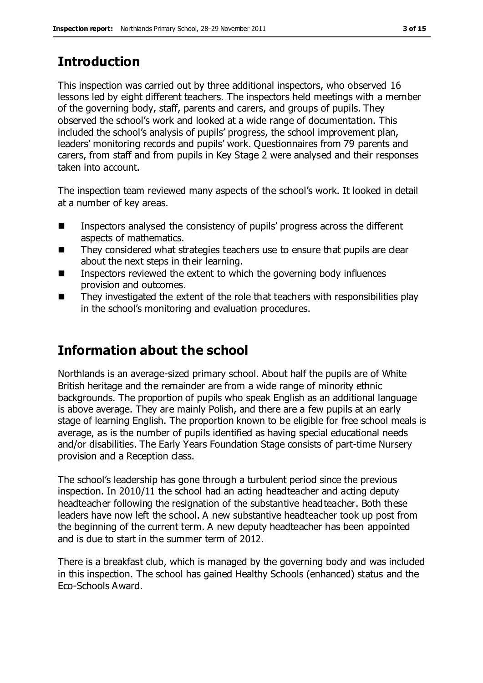# **Introduction**

This inspection was carried out by three additional inspectors, who observed 16 lessons led by eight different teachers. The inspectors held meetings with a member of the governing body, staff, parents and carers, and groups of pupils. They observed the school's work and looked at a wide range of documentation. This included the school's analysis of pupils' progress, the school improvement plan, leaders' monitoring records and pupils' work. Questionnaires from 79 parents and carers, from staff and from pupils in Key Stage 2 were analysed and their responses taken into account.

The inspection team reviewed many aspects of the school's work. It looked in detail at a number of key areas.

- Inspectors analysed the consistency of pupils' progress across the different aspects of mathematics.
- They considered what strategies teachers use to ensure that pupils are clear about the next steps in their learning.
- Inspectors reviewed the extent to which the governing body influences provision and outcomes.
- $\blacksquare$  They investigated the extent of the role that teachers with responsibilities play in the school's monitoring and evaluation procedures.

## **Information about the school**

Northlands is an average-sized primary school. About half the pupils are of White British heritage and the remainder are from a wide range of minority ethnic backgrounds. The proportion of pupils who speak English as an additional language is above average. They are mainly Polish, and there are a few pupils at an early stage of learning English. The proportion known to be eligible for free school meals is average, as is the number of pupils identified as having special educational needs and/or disabilities. The Early Years Foundation Stage consists of part-time Nursery provision and a Reception class.

The school's leadership has gone through a turbulent period since the previous inspection. In 2010/11 the school had an acting headteacher and acting deputy headteacher following the resignation of the substantive headteacher. Both these leaders have now left the school. A new substantive headteacher took up post from the beginning of the current term. A new deputy headteacher has been appointed and is due to start in the summer term of 2012.

There is a breakfast club, which is managed by the governing body and was included in this inspection. The school has gained Healthy Schools (enhanced) status and the Eco-Schools Award.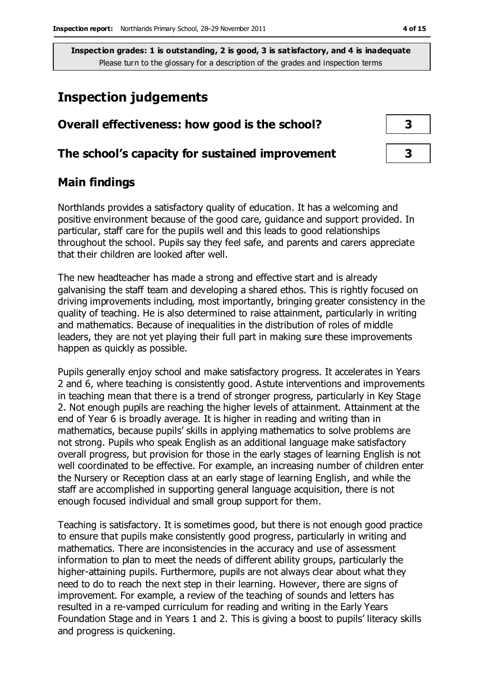## **Inspection judgements**

# **Overall effectiveness: how good is the school? 3**

### **The school's capacity for sustained improvement 3**

## **Main findings**

Northlands provides a satisfactory quality of education. It has a welcoming and positive environment because of the good care, guidance and support provided. In particular, staff care for the pupils well and this leads to good relationships throughout the school. Pupils say they feel safe, and parents and carers appreciate that their children are looked after well.

The new headteacher has made a strong and effective start and is already galvanising the staff team and developing a shared ethos. This is rightly focused on driving improvements including, most importantly, bringing greater consistency in the quality of teaching. He is also determined to raise attainment, particularly in writing and mathematics. Because of inequalities in the distribution of roles of middle leaders, they are not yet playing their full part in making sure these improvements happen as quickly as possible.

Pupils generally enjoy school and make satisfactory progress. It accelerates in Years 2 and 6, where teaching is consistently good. Astute interventions and improvements in teaching mean that there is a trend of stronger progress, particularly in Key Stage 2. Not enough pupils are reaching the higher levels of attainment. Attainment at the end of Year 6 is broadly average. It is higher in reading and writing than in mathematics, because pupils' skills in applying mathematics to solve problems are not strong. Pupils who speak English as an additional language make satisfactory overall progress, but provision for those in the early stages of learning English is not well coordinated to be effective. For example, an increasing number of children enter the Nursery or Reception class at an early stage of learning English, and while the staff are accomplished in supporting general language acquisition, there is not enough focused individual and small group support for them.

Teaching is satisfactory. It is sometimes good, but there is not enough good practice to ensure that pupils make consistently good progress, particularly in writing and mathematics. There are inconsistencies in the accuracy and use of assessment information to plan to meet the needs of different ability groups, particularly the higher-attaining pupils. Furthermore, pupils are not always clear about what they need to do to reach the next step in their learning. However, there are signs of improvement. For example, a review of the teaching of sounds and letters has resulted in a re-vamped curriculum for reading and writing in the Early Years Foundation Stage and in Years 1 and 2. This is giving a boost to pupils' literacy skills and progress is quickening.

| 3 |  |
|---|--|
|   |  |
| 3 |  |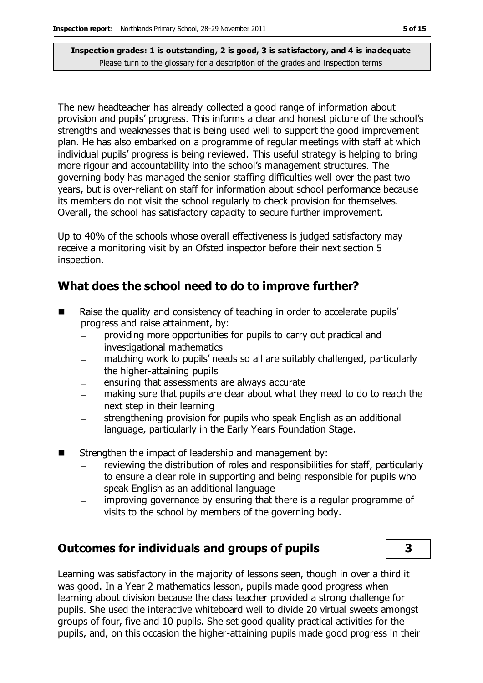The new headteacher has already collected a good range of information about provision and pupils' progress. This informs a clear and honest picture of the school's strengths and weaknesses that is being used well to support the good improvement plan. He has also embarked on a programme of regular meetings with staff at which individual pupils' progress is being reviewed. This useful strategy is helping to bring more rigour and accountability into the school's management structures. The governing body has managed the senior staffing difficulties well over the past two years, but is over-reliant on staff for information about school performance because its members do not visit the school regularly to check provision for themselves. Overall, the school has satisfactory capacity to secure further improvement.

Up to 40% of the schools whose overall effectiveness is judged satisfactory may receive a monitoring visit by an Ofsted inspector before their next section 5 inspection.

#### **What does the school need to do to improve further?**

- Raise the quality and consistency of teaching in order to accelerate pupils' progress and raise attainment, by:
	- providing more opportunities for pupils to carry out practical and investigational mathematics
	- matching work to pupils' needs so all are suitably challenged, particularly the higher-attaining pupils
	- ensuring that assessments are always accurate
	- making sure that pupils are clear about what they need to do to reach the next step in their learning
	- strengthening provision for pupils who speak English as an additional language, particularly in the Early Years Foundation Stage.
- Strengthen the impact of leadership and management by:
	- reviewing the distribution of roles and responsibilities for staff, particularly to ensure a clear role in supporting and being responsible for pupils who speak English as an additional language
	- improving governance by ensuring that there is a regular programme of visits to the school by members of the governing body.

#### **Outcomes for individuals and groups of pupils 3**

Learning was satisfactory in the majority of lessons seen, though in over a third it was good. In a Year 2 mathematics lesson, pupils made good progress when learning about division because the class teacher provided a strong challenge for pupils. She used the interactive whiteboard well to divide 20 virtual sweets amongst groups of four, five and 10 pupils. She set good quality practical activities for the pupils, and, on this occasion the higher-attaining pupils made good progress in their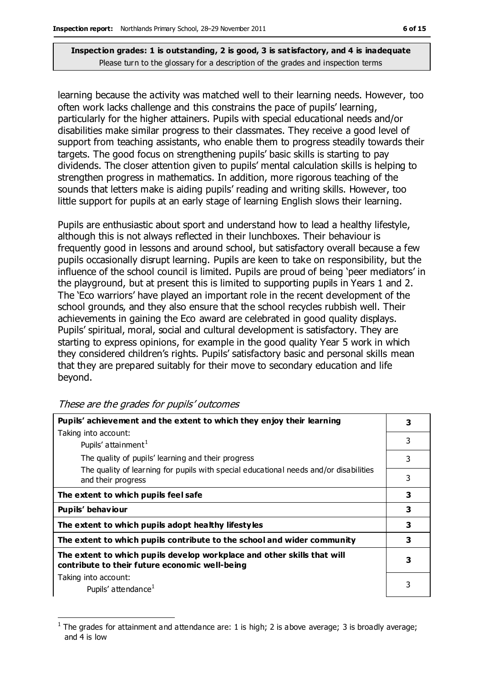learning because the activity was matched well to their learning needs. However, too often work lacks challenge and this constrains the pace of pupils' learning, particularly for the higher attainers. Pupils with special educational needs and/or disabilities make similar progress to their classmates. They receive a good level of support from teaching assistants, who enable them to progress steadily towards their targets. The good focus on strengthening pupils' basic skills is starting to pay dividends. The closer attention given to pupils' mental calculation skills is helping to strengthen progress in mathematics. In addition, more rigorous teaching of the sounds that letters make is aiding pupils' reading and writing skills. However, too little support for pupils at an early stage of learning English slows their learning.

Pupils are enthusiastic about sport and understand how to lead a healthy lifestyle, although this is not always reflected in their lunchboxes. Their behaviour is frequently good in lessons and around school, but satisfactory overall because a few pupils occasionally disrupt learning. Pupils are keen to take on responsibility, but the influence of the school council is limited. Pupils are proud of being 'peer mediators' in the playground, but at present this is limited to supporting pupils in Years 1 and 2. The 'Eco warriors' have played an important role in the recent development of the school grounds, and they also ensure that the school recycles rubbish well. Their achievements in gaining the Eco award are celebrated in good quality displays. Pupils' spiritual, moral, social and cultural development is satisfactory. They are starting to express opinions, for example in the good quality Year 5 work in which they considered children's rights. Pupils' satisfactory basic and personal skills mean that they are prepared suitably for their move to secondary education and life beyond.

| Pupils' achievement and the extent to which they enjoy their learning                                                     | 3 |
|---------------------------------------------------------------------------------------------------------------------------|---|
| Taking into account:                                                                                                      |   |
| Pupils' attainment <sup>1</sup>                                                                                           | 3 |
| The quality of pupils' learning and their progress                                                                        | 3 |
| The quality of learning for pupils with special educational needs and/or disabilities<br>and their progress               | 3 |
| The extent to which pupils feel safe                                                                                      | 3 |
| Pupils' behaviour                                                                                                         | 3 |
| The extent to which pupils adopt healthy lifestyles                                                                       | 3 |
| The extent to which pupils contribute to the school and wider community                                                   | 3 |
| The extent to which pupils develop workplace and other skills that will<br>contribute to their future economic well-being | 3 |
| Taking into account:                                                                                                      |   |
| Pupils' attendance <sup>1</sup>                                                                                           | 3 |

These are the grades for pupils' outcomes

 $\overline{a}$ 

<sup>1</sup> The grades for attainment and attendance are: 1 is high; 2 is above average; 3 is broadly average; and 4 is low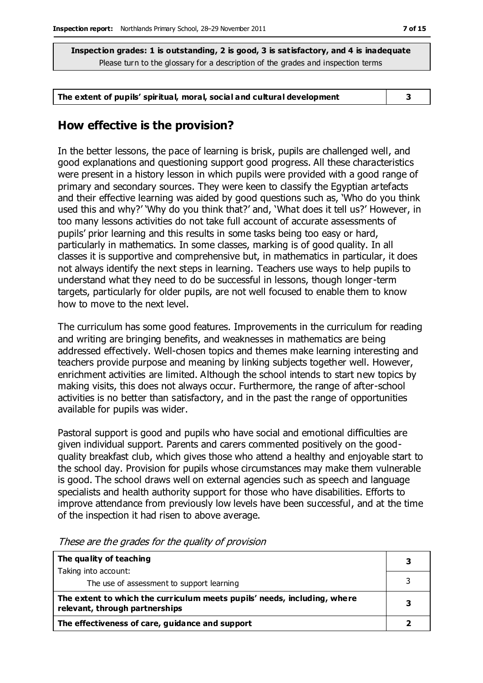#### **The extent of pupils' spiritual, moral, social and cultural development 3**

#### **How effective is the provision?**

In the better lessons, the pace of learning is brisk, pupils are challenged well, and good explanations and questioning support good progress. All these characteristics were present in a history lesson in which pupils were provided with a good range of primary and secondary sources. They were keen to classify the Egyptian artefacts and their effective learning was aided by good questions such as, 'Who do you think used this and why?' 'Why do you think that?' and, 'What does it tell us?' However, in too many lessons activities do not take full account of accurate assessments of pupils' prior learning and this results in some tasks being too easy or hard, particularly in mathematics. In some classes, marking is of good quality. In all classes it is supportive and comprehensive but, in mathematics in particular, it does not always identify the next steps in learning. Teachers use ways to help pupils to understand what they need to do be successful in lessons, though longer-term targets, particularly for older pupils, are not well focused to enable them to know how to move to the next level.

The curriculum has some good features. Improvements in the curriculum for reading and writing are bringing benefits, and weaknesses in mathematics are being addressed effectively. Well-chosen topics and themes make learning interesting and teachers provide purpose and meaning by linking subjects together well. However, enrichment activities are limited. Although the school intends to start new topics by making visits, this does not always occur. Furthermore, the range of after-school activities is no better than satisfactory, and in the past the range of opportunities available for pupils was wider.

Pastoral support is good and pupils who have social and emotional difficulties are given individual support. Parents and carers commented positively on the goodquality breakfast club, which gives those who attend a healthy and enjoyable start to the school day. Provision for pupils whose circumstances may make them vulnerable is good. The school draws well on external agencies such as speech and language specialists and health authority support for those who have disabilities. Efforts to improve attendance from previously low levels have been successful, and at the time of the inspection it had risen to above average.

| The quality of teaching                                                                                    | 3 |
|------------------------------------------------------------------------------------------------------------|---|
| Taking into account:                                                                                       |   |
| The use of assessment to support learning                                                                  |   |
| The extent to which the curriculum meets pupils' needs, including, where<br>relevant, through partnerships | 3 |
| The effectiveness of care, guidance and support                                                            |   |

These are the grades for the quality of provision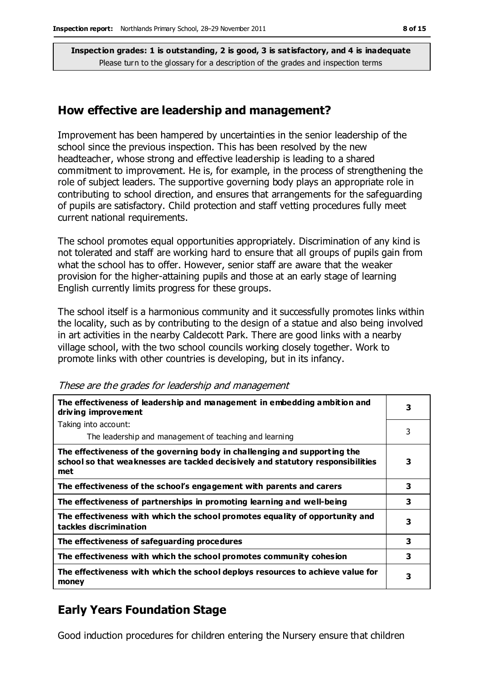#### **How effective are leadership and management?**

Improvement has been hampered by uncertainties in the senior leadership of the school since the previous inspection. This has been resolved by the new headteacher, whose strong and effective leadership is leading to a shared commitment to improvement. He is, for example, in the process of strengthening the role of subject leaders. The supportive governing body plays an appropriate role in contributing to school direction, and ensures that arrangements for the safeguarding of pupils are satisfactory. Child protection and staff vetting procedures fully meet current national requirements.

The school promotes equal opportunities appropriately. Discrimination of any kind is not tolerated and staff are working hard to ensure that all groups of pupils gain from what the school has to offer. However, senior staff are aware that the weaker provision for the higher-attaining pupils and those at an early stage of learning English currently limits progress for these groups.

The school itself is a harmonious community and it successfully promotes links within the locality, such as by contributing to the design of a statue and also being involved in art activities in the nearby Caldecott Park. There are good links with a nearby village school, with the two school councils working closely together. Work to promote links with other countries is developing, but in its infancy.

| The effectiveness of leadership and management in embedding ambition and<br>driving improvement                                                                     | 3 |
|---------------------------------------------------------------------------------------------------------------------------------------------------------------------|---|
| Taking into account:                                                                                                                                                |   |
| The leadership and management of teaching and learning                                                                                                              | 3 |
| The effectiveness of the governing body in challenging and supporting the<br>school so that weaknesses are tackled decisively and statutory responsibilities<br>met | 3 |
| The effectiveness of the school's engagement with parents and carers                                                                                                | 3 |
| The effectiveness of partnerships in promoting learning and well-being                                                                                              | 3 |
| The effectiveness with which the school promotes equality of opportunity and<br>tackles discrimination                                                              | 3 |
| The effectiveness of safeguarding procedures                                                                                                                        | 3 |
| The effectiveness with which the school promotes community cohesion                                                                                                 | 3 |
| The effectiveness with which the school deploys resources to achieve value for<br>money                                                                             | 3 |

These are the grades for leadership and management

## **Early Years Foundation Stage**

Good induction procedures for children entering the Nursery ensure that children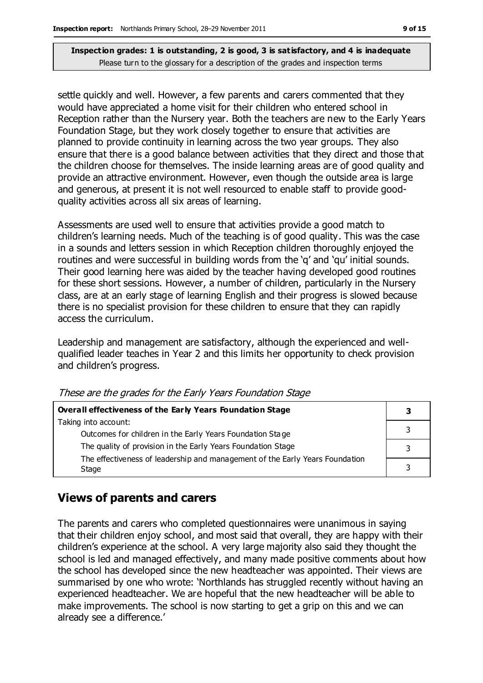settle quickly and well. However, a few parents and carers commented that they would have appreciated a home visit for their children who entered school in Reception rather than the Nursery year. Both the teachers are new to the Early Years Foundation Stage, but they work closely together to ensure that activities are planned to provide continuity in learning across the two year groups. They also ensure that there is a good balance between activities that they direct and those that the children choose for themselves. The inside learning areas are of good quality and provide an attractive environment. However, even though the outside area is large and generous, at present it is not well resourced to enable staff to provide goodquality activities across all six areas of learning.

Assessments are used well to ensure that activities provide a good match to children's learning needs. Much of the teaching is of good quality. This was the case in a sounds and letters session in which Reception children thoroughly enjoyed the routines and were successful in building words from the 'q' and 'qu' initial sounds. Their good learning here was aided by the teacher having developed good routines for these short sessions. However, a number of children, particularly in the Nursery class, are at an early stage of learning English and their progress is slowed because there is no specialist provision for these children to ensure that they can rapidly access the curriculum.

Leadership and management are satisfactory, although the experienced and wellqualified leader teaches in Year 2 and this limits her opportunity to check provision and children's progress.

| Overall effectiveness of the Early Years Foundation Stage                             |   |
|---------------------------------------------------------------------------------------|---|
| Taking into account:                                                                  |   |
| Outcomes for children in the Early Years Foundation Stage                             |   |
| The quality of provision in the Early Years Foundation Stage                          |   |
| The effectiveness of leadership and management of the Early Years Foundation<br>Stage | 3 |

These are the grades for the Early Years Foundation Stage

## **Views of parents and carers**

The parents and carers who completed questionnaires were unanimous in saying that their children enjoy school, and most said that overall, they are happy with their children's experience at the school. A very large majority also said they thought the school is led and managed effectively, and many made positive comments about how the school has developed since the new headteacher was appointed. Their views are summarised by one who wrote: 'Northlands has struggled recently without having an experienced headteacher. We are hopeful that the new headteacher will be able to make improvements. The school is now starting to get a grip on this and we can already see a difference.'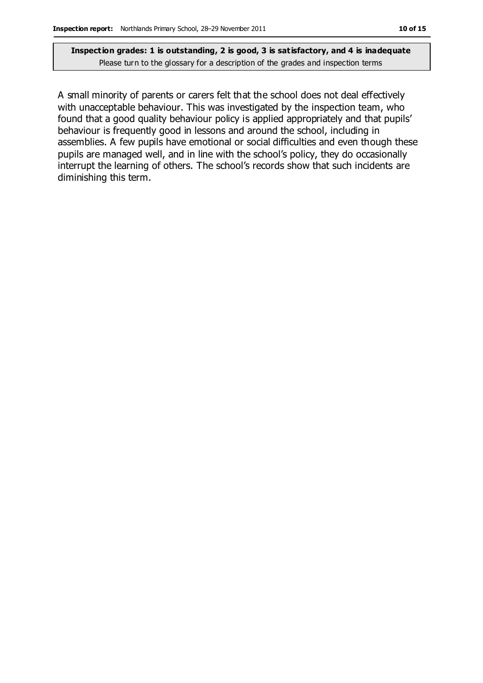A small minority of parents or carers felt that the school does not deal effectively with unacceptable behaviour. This was investigated by the inspection team, who found that a good quality behaviour policy is applied appropriately and that pupils' behaviour is frequently good in lessons and around the school, including in assemblies. A few pupils have emotional or social difficulties and even though these pupils are managed well, and in line with the school's policy, they do occasionally interrupt the learning of others. The school's records show that such incidents are diminishing this term.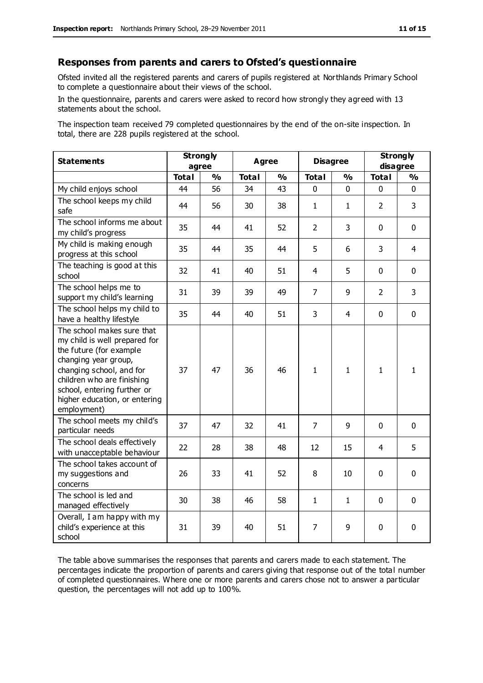#### **Responses from parents and carers to Ofsted's questionnaire**

Ofsted invited all the registered parents and carers of pupils registered at Northlands Primary School to complete a questionnaire about their views of the school.

In the questionnaire, parents and carers were asked to record how strongly they agreed with 13 statements about the school.

The inspection team received 79 completed questionnaires by the end of the on-site inspection. In total, there are 228 pupils registered at the school.

| <b>Statements</b>                                                                                                                                                                                                                                       | <b>Strongly</b><br>agree |               | <b>Agree</b> |               | <b>Disagree</b> |               | <b>Strongly</b><br>disagree |               |
|---------------------------------------------------------------------------------------------------------------------------------------------------------------------------------------------------------------------------------------------------------|--------------------------|---------------|--------------|---------------|-----------------|---------------|-----------------------------|---------------|
|                                                                                                                                                                                                                                                         | <b>Total</b>             | $\frac{0}{0}$ | <b>Total</b> | $\frac{0}{0}$ | <b>Total</b>    | $\frac{0}{0}$ | <b>Total</b>                | $\frac{1}{2}$ |
| My child enjoys school                                                                                                                                                                                                                                  | 44                       | 56            | 34           | 43            | $\Omega$        | 0             | 0                           | $\Omega$      |
| The school keeps my child<br>safe                                                                                                                                                                                                                       | 44                       | 56            | 30           | 38            | $\mathbf{1}$    | 1             | $\overline{2}$              | 3             |
| The school informs me about<br>my child's progress                                                                                                                                                                                                      | 35                       | 44            | 41           | 52            | $\overline{2}$  | 3             | $\mathbf 0$                 | $\mathbf 0$   |
| My child is making enough<br>progress at this school                                                                                                                                                                                                    | 35                       | 44            | 35           | 44            | 5               | 6             | 3                           | 4             |
| The teaching is good at this<br>school                                                                                                                                                                                                                  | 32                       | 41            | 40           | 51            | 4               | 5             | $\mathbf 0$                 | $\mathbf 0$   |
| The school helps me to<br>support my child's learning                                                                                                                                                                                                   | 31                       | 39            | 39           | 49            | $\overline{7}$  | 9             | $\overline{2}$              | 3             |
| The school helps my child to<br>have a healthy lifestyle                                                                                                                                                                                                | 35                       | 44            | 40           | 51            | 3               | 4             | $\mathbf 0$                 | $\mathbf 0$   |
| The school makes sure that<br>my child is well prepared for<br>the future (for example<br>changing year group,<br>changing school, and for<br>children who are finishing<br>school, entering further or<br>higher education, or entering<br>employment) | 37                       | 47            | 36           | 46            | $\mathbf{1}$    | 1             | $\mathbf{1}$                | $\mathbf{1}$  |
| The school meets my child's<br>particular needs                                                                                                                                                                                                         | 37                       | 47            | 32           | 41            | $\overline{7}$  | 9             | $\mathbf 0$                 | $\mathbf 0$   |
| The school deals effectively<br>with unacceptable behaviour                                                                                                                                                                                             | 22                       | 28            | 38           | 48            | 12              | 15            | 4                           | 5             |
| The school takes account of<br>my suggestions and<br>concerns                                                                                                                                                                                           | 26                       | 33            | 41           | 52            | 8               | 10            | $\mathbf 0$                 | $\mathbf 0$   |
| The school is led and<br>managed effectively                                                                                                                                                                                                            | 30                       | 38            | 46           | 58            | $\mathbf{1}$    | 1             | $\mathbf 0$                 | $\mathbf 0$   |
| Overall, I am happy with my<br>child's experience at this<br>school                                                                                                                                                                                     | 31                       | 39            | 40           | 51            | 7               | 9             | $\mathbf 0$                 | 0             |

The table above summarises the responses that parents and carers made to each statement. The percentages indicate the proportion of parents and carers giving that response out of the total number of completed questionnaires. Where one or more parents and carers chose not to answer a particular question, the percentages will not add up to 100%.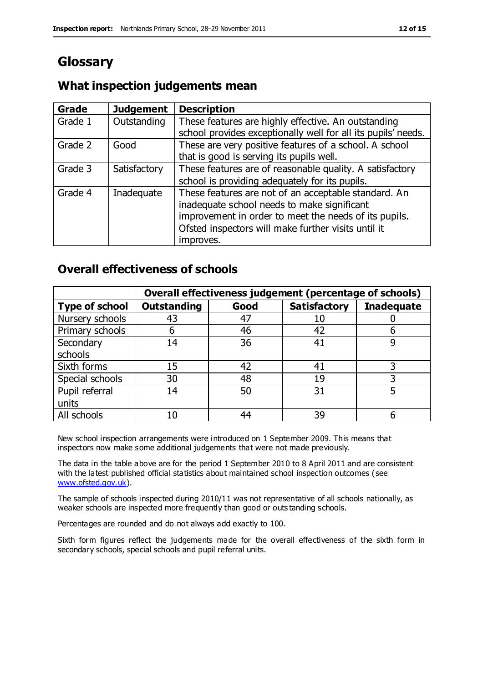## **Glossary**

### **What inspection judgements mean**

| Grade   | <b>Judgement</b> | <b>Description</b>                                            |
|---------|------------------|---------------------------------------------------------------|
| Grade 1 | Outstanding      | These features are highly effective. An outstanding           |
|         |                  | school provides exceptionally well for all its pupils' needs. |
| Grade 2 | Good             | These are very positive features of a school. A school        |
|         |                  | that is good is serving its pupils well.                      |
| Grade 3 | Satisfactory     | These features are of reasonable quality. A satisfactory      |
|         |                  | school is providing adequately for its pupils.                |
| Grade 4 | Inadequate       | These features are not of an acceptable standard. An          |
|         |                  | inadequate school needs to make significant                   |
|         |                  | improvement in order to meet the needs of its pupils.         |
|         |                  | Ofsted inspectors will make further visits until it           |
|         |                  | improves.                                                     |

#### **Overall effectiveness of schools**

|                       |                    |      | Overall effectiveness judgement (percentage of schools) |                   |
|-----------------------|--------------------|------|---------------------------------------------------------|-------------------|
| <b>Type of school</b> | <b>Outstanding</b> | Good | <b>Satisfactory</b>                                     | <b>Inadequate</b> |
| Nursery schools       | 43                 | 47   | 10                                                      |                   |
| Primary schools       | 6                  | 46   | 42                                                      |                   |
| Secondary             | 14                 | 36   | 41                                                      |                   |
| schools               |                    |      |                                                         |                   |
| Sixth forms           | 15                 | 42   | 41                                                      | 3                 |
| Special schools       | 30                 | 48   | 19                                                      |                   |
| Pupil referral        | 14                 | 50   | 31                                                      |                   |
| units                 |                    |      |                                                         |                   |
| All schools           | 10                 | 44   | 39                                                      |                   |

New school inspection arrangements were introduced on 1 September 2009. This means that inspectors now make some additional judgements that were not made previously.

The data in the table above are for the period 1 September 2010 to 8 April 2011 and are consistent with the latest published official statistics about maintained school inspection outcomes (see [www.ofsted.gov.uk\)](http://www.ofsted.gov.uk/).

The sample of schools inspected during 2010/11 was not representative of all schools nationally, as weaker schools are inspected more frequently than good or outs tanding schools.

Percentages are rounded and do not always add exactly to 100.

Sixth form figures reflect the judgements made for the overall effectiveness of the sixth form in secondary schools, special schools and pupil referral units.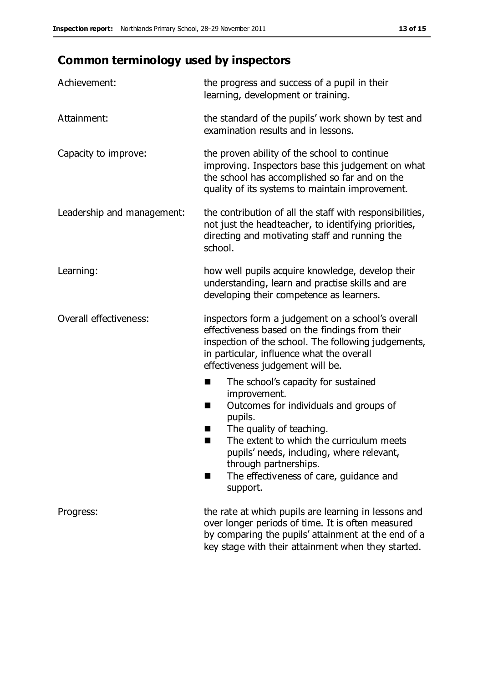# **Common terminology used by inspectors**

| Achievement:                  | the progress and success of a pupil in their<br>learning, development or training.                                                                                                                                                                                                                                           |  |
|-------------------------------|------------------------------------------------------------------------------------------------------------------------------------------------------------------------------------------------------------------------------------------------------------------------------------------------------------------------------|--|
| Attainment:                   | the standard of the pupils' work shown by test and<br>examination results and in lessons.                                                                                                                                                                                                                                    |  |
| Capacity to improve:          | the proven ability of the school to continue<br>improving. Inspectors base this judgement on what<br>the school has accomplished so far and on the<br>quality of its systems to maintain improvement.                                                                                                                        |  |
| Leadership and management:    | the contribution of all the staff with responsibilities,<br>not just the headteacher, to identifying priorities,<br>directing and motivating staff and running the<br>school.                                                                                                                                                |  |
| Learning:                     | how well pupils acquire knowledge, develop their<br>understanding, learn and practise skills and are<br>developing their competence as learners.                                                                                                                                                                             |  |
| <b>Overall effectiveness:</b> | inspectors form a judgement on a school's overall<br>effectiveness based on the findings from their<br>inspection of the school. The following judgements,<br>in particular, influence what the overall<br>effectiveness judgement will be.                                                                                  |  |
|                               | The school's capacity for sustained<br>×<br>improvement.<br>Outcomes for individuals and groups of<br>п<br>pupils.<br>The quality of teaching.<br>The extent to which the curriculum meets<br>pupils' needs, including, where relevant,<br>through partnerships.<br>The effectiveness of care, guidance and<br>■<br>support. |  |
| Progress:                     | the rate at which pupils are learning in lessons and<br>over longer periods of time. It is often measured<br>by comparing the pupils' attainment at the end of a<br>key stage with their attainment when they started.                                                                                                       |  |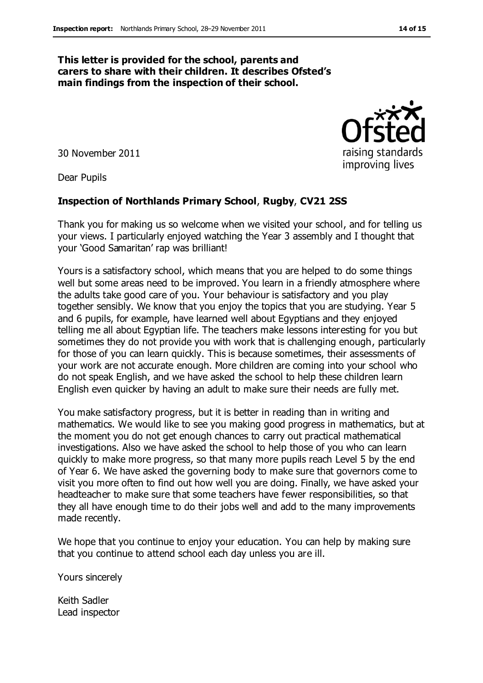#### **This letter is provided for the school, parents and carers to share with their children. It describes Ofsted's main findings from the inspection of their school.**

30 November 2011

Dear Pupils

#### **Inspection of Northlands Primary School**, **Rugby**, **CV21 2SS**

Thank you for making us so welcome when we visited your school, and for telling us your views. I particularly enjoyed watching the Year 3 assembly and I thought that your 'Good Samaritan' rap was brilliant!

Yours is a satisfactory school, which means that you are helped to do some things well but some areas need to be improved. You learn in a friendly atmosphere where the adults take good care of you. Your behaviour is satisfactory and you play together sensibly. We know that you enjoy the topics that you are studying. Year 5 and 6 pupils, for example, have learned well about Egyptians and they enjoyed telling me all about Egyptian life. The teachers make lessons interesting for you but sometimes they do not provide you with work that is challenging enough, particularly for those of you can learn quickly. This is because sometimes, their assessments of your work are not accurate enough. More children are coming into your school who do not speak English, and we have asked the school to help these children learn English even quicker by having an adult to make sure their needs are fully met.

You make satisfactory progress, but it is better in reading than in writing and mathematics. We would like to see you making good progress in mathematics, but at the moment you do not get enough chances to carry out practical mathematical investigations. Also we have asked the school to help those of you who can learn quickly to make more progress, so that many more pupils reach Level 5 by the end of Year 6. We have asked the governing body to make sure that governors come to visit you more often to find out how well you are doing. Finally, we have asked your headteacher to make sure that some teachers have fewer responsibilities, so that they all have enough time to do their jobs well and add to the many improvements made recently.

We hope that you continue to enjoy your education. You can help by making sure that you continue to attend school each day unless you are ill.

Yours sincerely

Keith Sadler Lead inspector